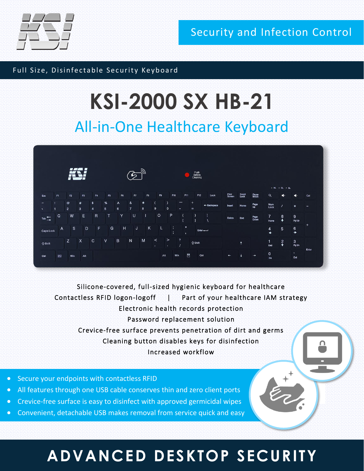

Security and Infection Control

Full Size, Disinfectable Security Keyboard

# **KSI-2000 SX HB-21**

### All-in-One Healthcare Keyboard



Silicone-covered, full-sized hygienic keyboard for healthcare Contactless RFID logon-logoff | Part of your healthcare IAM strategy Electronic health records protection Password replacement solution Crevice-free surface prevents penetration of dirt and germs Cleaning button disables keys for disinfection Increased workflow

- Secure your endpoints with contactless RFID
- All features through one USB cable conserves thin and zero client ports
- Crevice-free surface is easy to disinfect with approved germicidal wipes
- Convenient, detachable USB makes removal from service quick and easy

## **ADVANCED DESKTOP SECURITY**